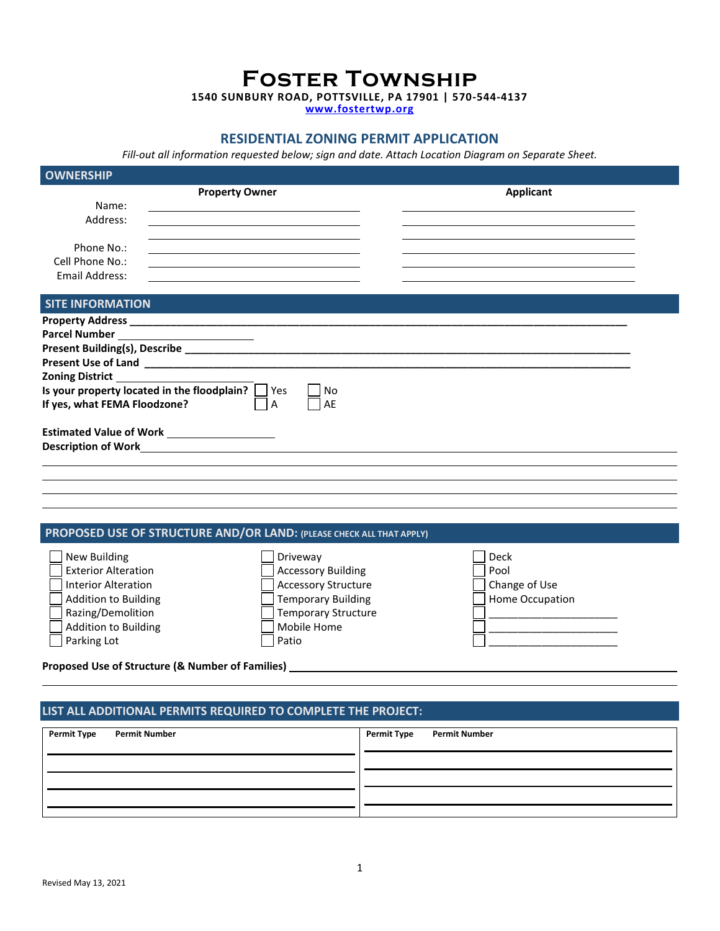**Foster Township**

**1540 SUNBURY ROAD, POTTSVILLE, PA 17901 | 570-544-4137**

**[www.fostertwp.org](http://www.fostertwp.org/)**

# **RESIDENTIAL ZONING PERMIT APPLICATION**

*Fill-out all information requested below; sign and date. Attach Location Diagram on Separate Sheet.*

| <b>OWNERSHIP</b>                  |                                                                                                                      |          |           |  |
|-----------------------------------|----------------------------------------------------------------------------------------------------------------------|----------|-----------|--|
| Name:<br>Address:<br>Phone No.:   | <b>Property Owner</b>                                                                                                |          | Applicant |  |
| Cell Phone No.:<br>Email Address: | <u> 1989 - Johann Barbara, martxa alemaniar argumento de la contrada de la contrada de la contrada de la contrad</u> |          |           |  |
| <b>SITE INFORMATION</b>           |                                                                                                                      |          |           |  |
| If yes, what FEMA Floodzone?      | Is your property located in the floodplain? Ses<br>A                                                                 | No<br>AE |           |  |
|                                   | Estimated Value of Work ____________________                                                                         |          |           |  |
|                                   |                                                                                                                      |          |           |  |

# **PROPOSED USE OF STRUCTURE AND/OR LAND: (PLEASE CHECK ALL THAT APPLY)**

| New Building                | Driveway                   | Deck            |
|-----------------------------|----------------------------|-----------------|
| <b>Exterior Alteration</b>  | <b>Accessory Building</b>  | Pool            |
| <b>Interior Alteration</b>  | <b>Accessory Structure</b> | Change of Use   |
| <b>Addition to Building</b> | <b>Temporary Building</b>  | Home Occupation |
| Razing/Demolition           | <b>Temporary Structure</b> |                 |
| <b>Addition to Building</b> | Mobile Home                |                 |
| Parking Lot                 | Patio                      |                 |
|                             |                            |                 |

**Proposed Use of Structure (& Number of Families)** 

#### **LIST ALL ADDITIONAL PERMITS REQUIRED TO COMPLETE THE PROJECT:**

| <b>Permit Type</b> | <b>Permit Number</b> | Permit Type Permit Number |
|--------------------|----------------------|---------------------------|
|                    |                      |                           |
|                    |                      |                           |
|                    |                      |                           |
|                    |                      |                           |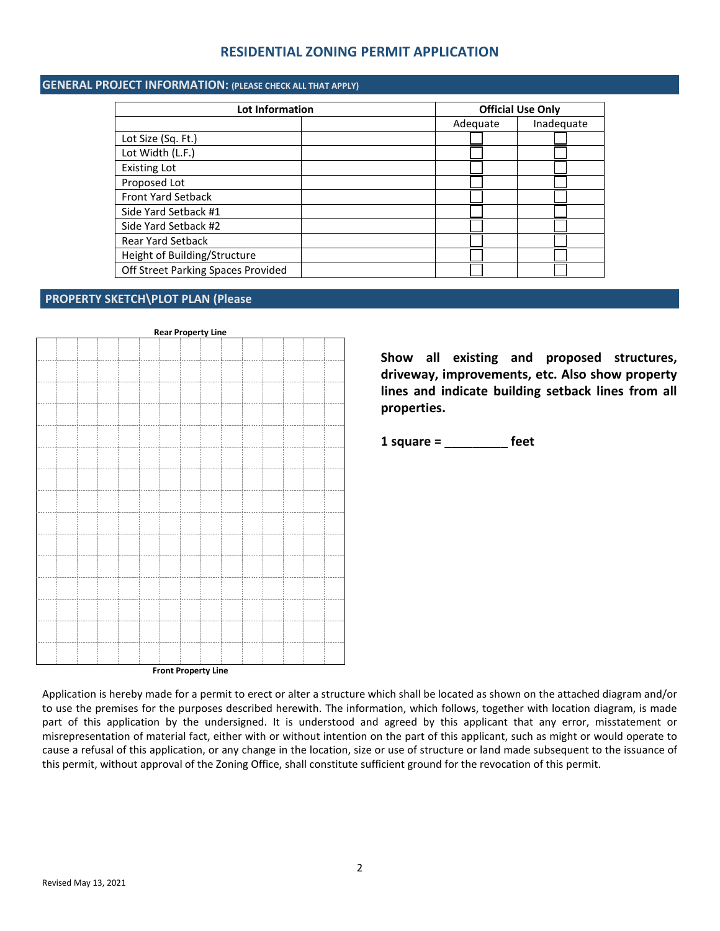## **RESIDENTIAL ZONING PERMIT APPLICATION**

#### **GENERAL PROJECT INFORMATION: (PLEASE CHECK ALL THAT APPLY)**

| Lot Information                    |          | <b>Official Use Only</b> |  |  |
|------------------------------------|----------|--------------------------|--|--|
|                                    | Adequate | Inadequate               |  |  |
| Lot Size (Sq. Ft.)                 |          |                          |  |  |
| Lot Width (L.F.)                   |          |                          |  |  |
| <b>Existing Lot</b>                |          |                          |  |  |
| Proposed Lot                       |          |                          |  |  |
| <b>Front Yard Setback</b>          |          |                          |  |  |
| Side Yard Setback #1               |          |                          |  |  |
| Side Yard Setback #2               |          |                          |  |  |
| <b>Rear Yard Setback</b>           |          |                          |  |  |
| Height of Building/Structure       |          |                          |  |  |
| Off Street Parking Spaces Provided |          |                          |  |  |

#### **PROPERTY SKETCH\PLOT PLAN (Please**

**Rear Property Line**

**Front Property Line**

**Show all existing and proposed structures, driveway, improvements, etc. Also show property lines and indicate building setback lines from all properties.**

**1 square = \_\_\_\_\_\_\_\_\_ feet**

Application is hereby made for a permit to erect or alter a structure which shall be located as shown on the attached diagram and/or to use the premises for the purposes described herewith. The information, which follows, together with location diagram, is made part of this application by the undersigned. It is understood and agreed by this applicant that any error, misstatement or misrepresentation of material fact, either with or without intention on the part of this applicant, such as might or would operate to cause a refusal of this application, or any change in the location, size or use of structure or land made subsequent to the issuance of this permit, without approval of the Zoning Office, shall constitute sufficient ground for the revocation of this permit.